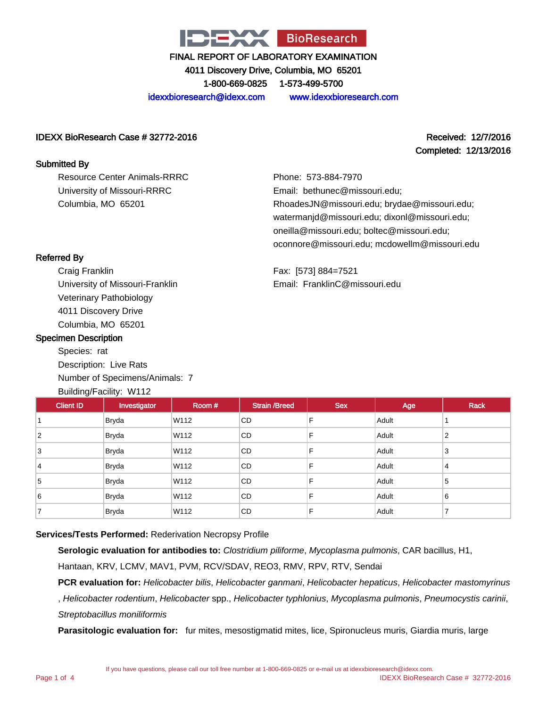

4011 Discovery Drive, Columbia, MO 65201 1-800-669-0825 1-573-499-5700

idexxbioresearch@idexx.com www.idexxbioresearch.com

#### IDEXX BioResearch Case # 32772-2016 Received: 12/7/2016

Resource Center Animals-RRRC University of Missouri-RRRC

Columbia, MO 65201

# Completed: 12/13/2016

Phone: 573-884-7970 Email: bethunec@missouri.edu; RhoadesJN@missouri.edu; brydae@missouri.edu; watermanjd@missouri.edu; dixonl@missouri.edu; oneilla@missouri.edu; boltec@missouri.edu; oconnore@missouri.edu; mcdowellm@missouri.edu

Fax: [573] 884=7521 Email: FranklinC@missouri.edu

## Referred By

Submitted By

Craig Franklin University of Missouri-Franklin Veterinary Pathobiology 4011 Discovery Drive Columbia, MO 65201

#### Specimen Description

Species: rat Description: Live Rats Number of Specimens/Animals: 7 Building/Facility: W112

| <b>Client ID</b> | Investigator | Room # | <b>Strain /Breed</b> | <b>Sex</b> | Age   | <b>Rack</b> |
|------------------|--------------|--------|----------------------|------------|-------|-------------|
|                  | <b>Bryda</b> | W112   | <b>CD</b>            | F          | Adult |             |
| $\overline{2}$   | <b>Bryda</b> | W112   | CD                   | F          | Adult | 2           |
| 3                | <b>Bryda</b> | W112   | <b>CD</b>            | F          | Adult | 3           |
| 14               | <b>Bryda</b> | W112   | <b>CD</b>            | F          | Adult | 4           |
| 5                | <b>Bryda</b> | W112   | <b>CD</b>            | F          | Adult | 5           |
| 6                | <b>Bryda</b> | W112   | <b>CD</b>            | F          | Adult | 6           |
|                  | <b>Bryda</b> | W112   | CD                   | F          | Adult | -           |

## **Services/Tests Performed:** Rederivation Necropsy Profile

**Serologic evaluation for antibodies to:** Clostridium piliforme, Mycoplasma pulmonis, CAR bacillus, H1,

Hantaan, KRV, LCMV, MAV1, PVM, RCV/SDAV, REO3, RMV, RPV, RTV, Sendai

PCR evaluation for: Helicobacter bilis, Helicobacter ganmani, Helicobacter hepaticus, Helicobacter mastomyrinus

, Helicobacter rodentium, Helicobacter spp., Helicobacter typhlonius, Mycoplasma pulmonis, Pneumocystis carinii, Streptobacillus moniliformis

**Parasitologic evaluation for:** fur mites, mesostigmatid mites, lice, Spironucleus muris, Giardia muris, large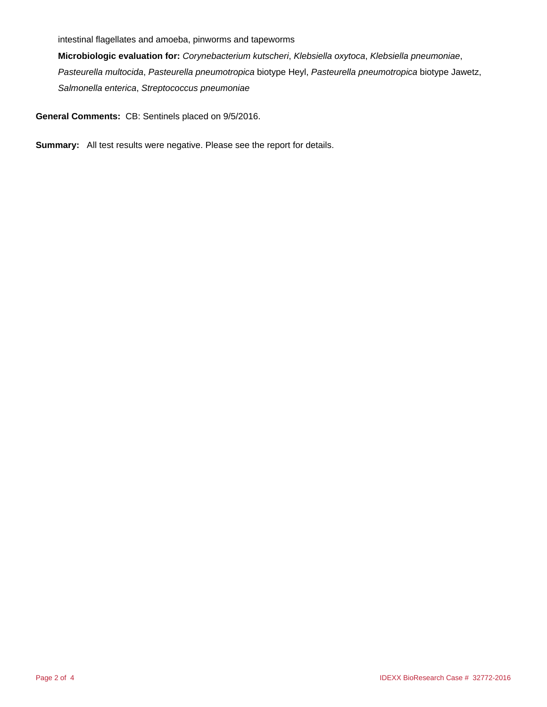intestinal flagellates and amoeba, pinworms and tapeworms

**Microbiologic evaluation for:** Corynebacterium kutscheri, Klebsiella oxytoca, Klebsiella pneumoniae, Pasteurella multocida, Pasteurella pneumotropica biotype Heyl, Pasteurella pneumotropica biotype Jawetz, Salmonella enterica, Streptococcus pneumoniae

**General Comments:** CB: Sentinels placed on 9/5/2016.

**Summary:** All test results were negative. Please see the report for details.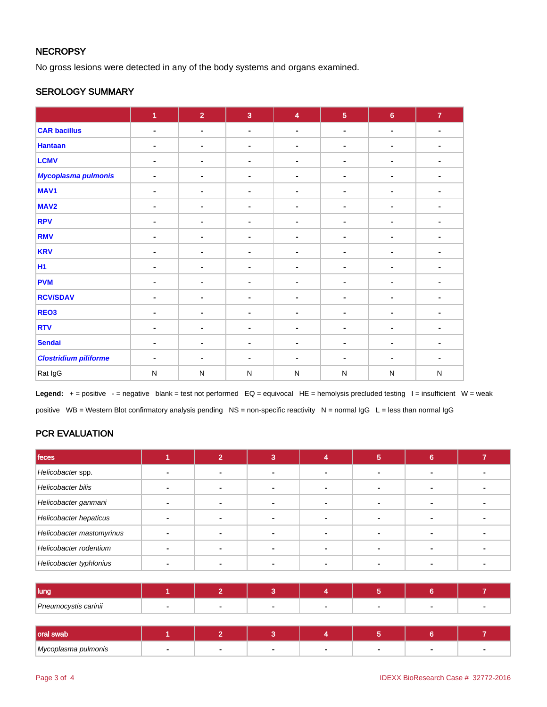## **NECROPSY**

No gross lesions were detected in any of the body systems and organs examined.

## SEROLOGY SUMMARY

|                              | $\overline{1}$ | $\overline{2}$ | $\overline{3}$ | $\overline{\mathbf{4}}$ | $\overline{5}$ | $6\phantom{a}$ | $\mathbf{7}$   |
|------------------------------|----------------|----------------|----------------|-------------------------|----------------|----------------|----------------|
| <b>CAR bacillus</b>          | $\blacksquare$ | $\blacksquare$ | $\blacksquare$ | $\blacksquare$          | $\blacksquare$ | $\blacksquare$ | $\blacksquare$ |
| <b>Hantaan</b>               | $\blacksquare$ | $\blacksquare$ | $\blacksquare$ |                         | ۰.             | $\blacksquare$ | ٠              |
| <b>LCMV</b>                  | $\blacksquare$ | ۰              | $\blacksquare$ | $\blacksquare$          | $\blacksquare$ | $\blacksquare$ | ٠              |
| Mycoplasma pulmonis          | ٠              | ۰              | $\blacksquare$ | $\blacksquare$          | ۰              | ٠              | $\blacksquare$ |
| MAV1                         | ٠              | $\blacksquare$ | $\blacksquare$ | ٠                       | ۰              | ۰              | ٠              |
| MAV <sub>2</sub>             | ٠              | $\blacksquare$ | $\blacksquare$ | ٠                       | ۰              | $\blacksquare$ | $\blacksquare$ |
| <b>RPV</b>                   | $\blacksquare$ | $\blacksquare$ | $\blacksquare$ | $\blacksquare$          | ۰              | ٠              |                |
| <b>RMV</b>                   | ٠              | $\blacksquare$ | ۰              |                         | ۰              | ٠              |                |
| <b>KRV</b>                   |                | $\blacksquare$ | $\blacksquare$ | $\blacksquare$          | ۰              | $\blacksquare$ | $\blacksquare$ |
| <b>H1</b>                    | ٠              | ۰              | $\blacksquare$ | $\blacksquare$          | $\blacksquare$ | ٠              |                |
| <b>PVM</b>                   | ٠              | $\blacksquare$ | ۰              |                         | ۰              | ۰              |                |
| <b>RCV/SDAV</b>              | $\blacksquare$ |                | $\blacksquare$ |                         | ۰              | ۰              |                |
| REO <sub>3</sub>             | $\blacksquare$ | $\blacksquare$ | $\blacksquare$ | $\blacksquare$          | ۰              | ٠              | $\blacksquare$ |
| <b>RTV</b>                   | $\blacksquare$ | $\blacksquare$ | $\blacksquare$ | $\blacksquare$          | ۰              | ٠              | ۰              |
| <b>Sendai</b>                | ۰              | ۰              | $\blacksquare$ | $\blacksquare$          | $\blacksquare$ | $\blacksquare$ | ٠              |
| <b>Clostridium piliforme</b> | ٠              | $\blacksquare$ | $\blacksquare$ | $\blacksquare$          | $\blacksquare$ | ٠              |                |
| Rat IgG                      | $\mathsf{N}$   | ${\sf N}$      | $\mathsf{N}$   | $\mathsf{N}$            | $\mathsf{N}$   | ${\sf N}$      | $\mathsf{N}$   |

Legend: + = positive - = negative blank = test not performed EQ = equivocal HE = hemolysis precluded testing l = insufficient W = weak positive WB = Western Blot confirmatory analysis pending NS = non-specific reactivity N = normal  $\lg G$  L = less than normal  $\lg G$ 

## PCR EVALUATION

| feces                     |  |  | 5 | 6 |  |
|---------------------------|--|--|---|---|--|
| Helicobacter spp.         |  |  |   |   |  |
| Helicobacter bilis        |  |  |   |   |  |
| Helicobacter ganmani      |  |  |   |   |  |
| Helicobacter hepaticus    |  |  |   |   |  |
| Helicobacter mastomyrinus |  |  |   |   |  |
| Helicobacter rodentium    |  |  |   |   |  |
| Helicobacter typhlonius   |  |  |   |   |  |

| Huna                 |  |  |  |  |
|----------------------|--|--|--|--|
| Pneumocystis carinii |  |  |  |  |

| l oral swal<br>r swau |  |  |  |  |
|-----------------------|--|--|--|--|
| Mycoplasma pulmonis   |  |  |  |  |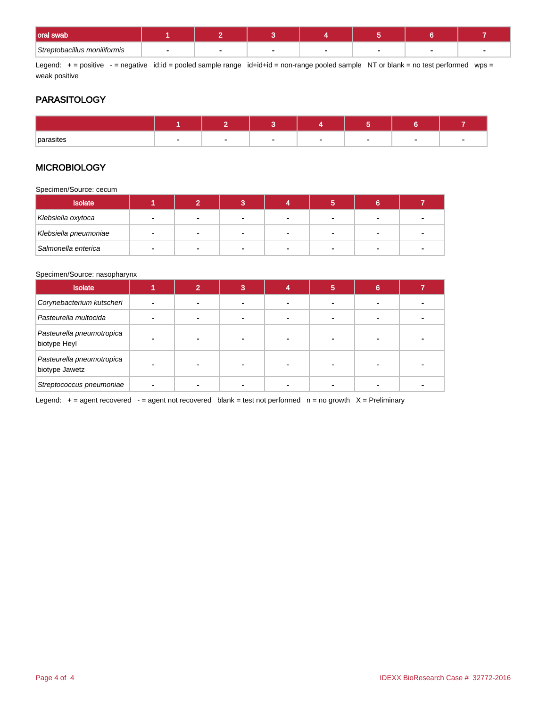| <b>oral swab</b>             |  |        |  |  |
|------------------------------|--|--------|--|--|
| Streptobacillus moniliformis |  | $\sim$ |  |  |

Legend: + = positive - = negative id:id = pooled sample range id+id+id = non-range pooled sample NT or blank = no test performed wps = weak positive

## **PARASITOLOGY**

| <b>parasites</b><br>ເວແອະ<br>. |  |  |  |  |
|--------------------------------|--|--|--|--|

### **MICROBIOLOGY**

Specimen/Source: cecum

| <b>Isolate</b>        |                |                |                |        |    |  |
|-----------------------|----------------|----------------|----------------|--------|----|--|
| Klebsiella oxytoca    |                |                |                |        |    |  |
| Klebsiella pneumoniae | $\blacksquare$ |                |                |        |    |  |
| Salmonella enterica   | $\mathbf{r}$   | $\blacksquare$ | $\blacksquare$ | $\sim$ | н. |  |

#### Specimen/Source: nasopharynx

| <b>Isolate</b>                              | ົ |  | 5 | 6 |  |
|---------------------------------------------|---|--|---|---|--|
| Corynebacterium kutscheri                   |   |  |   |   |  |
| Pasteurella multocida                       |   |  |   |   |  |
| Pasteurella pneumotropica<br>biotype Heyl   |   |  |   |   |  |
| Pasteurella pneumotropica<br>biotype Jawetz |   |  |   |   |  |
| Streptococcus pneumoniae                    |   |  |   |   |  |

Legend:  $+$  = agent recovered - = agent not recovered blank = test not performed  $n$  = no growth  $X$  = Preliminary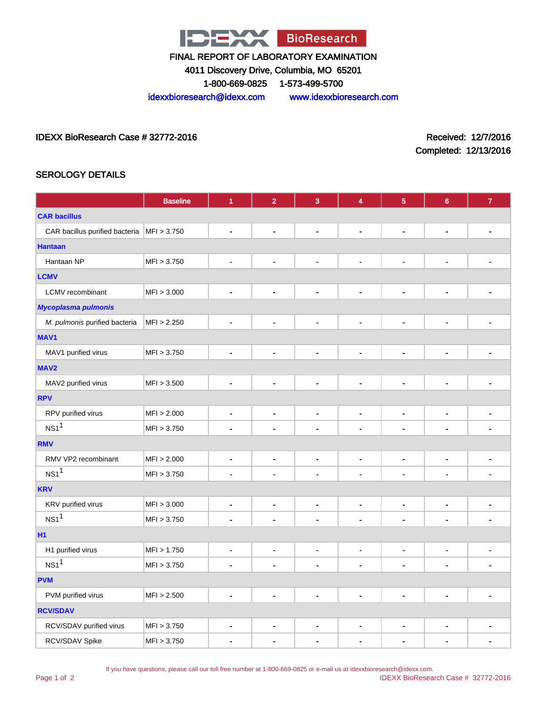

4011 Discovery Drive, Columbia, MO 65201

1-800-669-0825 1-573-499-5700

idexxbioresearch@idexx.com www.idexxbioresearch.com

IDEXX BioResearch Case # 32772-2016 Received: 12/7/2016

Completed: 12/13/2016

## SEROLOGY DETAILS

|                                                      | <b>Baseline</b> | $\blacktriangleleft$         | $\overline{2}$               | $\overline{3}$               | 4                            | 5                            | $6\phantom{a}$               | $\overline{7}$ |
|------------------------------------------------------|-----------------|------------------------------|------------------------------|------------------------------|------------------------------|------------------------------|------------------------------|----------------|
| <b>CAR bacillus</b>                                  |                 |                              |                              |                              |                              |                              |                              |                |
| CAR bacillus purified bacteria $ \text{MF}  > 3.750$ |                 | $\qquad \qquad \blacksquare$ | $\qquad \qquad \blacksquare$ | $\qquad \qquad \blacksquare$ | $\blacksquare$               | $\blacksquare$               | $\blacksquare$               |                |
| <b>Hantaan</b>                                       |                 |                              |                              |                              |                              |                              |                              |                |
| Hantaan NP                                           | MFI > 3.750     | $\blacksquare$               | $\blacksquare$               | $\blacksquare$               | $\blacksquare$               | $\blacksquare$               | $\blacksquare$               | ۰              |
| <b>LCMV</b>                                          |                 |                              |                              |                              |                              |                              |                              |                |
| <b>LCMV</b> recombinant                              | MFI > 3.000     | $\blacksquare$               | $\qquad \qquad \blacksquare$ | $\qquad \qquad \blacksquare$ | $\qquad \qquad \blacksquare$ | $\qquad \qquad \blacksquare$ | $\blacksquare$               | -              |
| <b>Mycoplasma pulmonis</b>                           |                 |                              |                              |                              |                              |                              |                              |                |
| M. pulmonis purified bacteria                        | MFI > 2.250     | $\blacksquare$               | $\qquad \qquad \blacksquare$ | $\qquad \qquad \blacksquare$ | $\overline{\phantom{a}}$     | $\blacksquare$               | $\blacksquare$               | -              |
| MAV1                                                 |                 |                              |                              |                              |                              |                              |                              |                |
| MAV1 purified virus                                  | MFI > 3.750     | $\blacksquare$               | $\blacksquare$               | $\blacksquare$               | $\blacksquare$               | $\blacksquare$               | $\blacksquare$               | ä,             |
| MAV <sub>2</sub>                                     |                 |                              |                              |                              |                              |                              |                              |                |
| MAV2 purified virus                                  | MFI > 3.500     | $\blacksquare$               | $\qquad \qquad \blacksquare$ | $\qquad \qquad \blacksquare$ | $\overline{\phantom{a}}$     | $\blacksquare$               | $\qquad \qquad \blacksquare$ | ۰              |
| <b>RPV</b>                                           |                 |                              |                              |                              |                              |                              |                              |                |
| RPV purified virus                                   | MFI > 2.000     | $\blacksquare$               | $\qquad \qquad \blacksquare$ | $\qquad \qquad \blacksquare$ | $\qquad \qquad \blacksquare$ | $\blacksquare$               | $\overline{\phantom{a}}$     | $\blacksquare$ |
| NS1 <sup>1</sup>                                     | MFI > 3.750     | $\qquad \qquad \blacksquare$ | $\overline{a}$               | $\qquad \qquad \blacksquare$ | $\blacksquare$               |                              | $\overline{\phantom{a}}$     |                |
| <b>RMV</b>                                           |                 |                              |                              |                              |                              |                              |                              |                |
| RMV VP2 recombinant                                  | MFI > 2.000     | $\blacksquare$               | $\qquad \qquad \blacksquare$ | $\qquad \qquad \blacksquare$ | $\blacksquare$               | ٠                            | $\blacksquare$               | ٠              |
| $NS1$ <sup>1</sup>                                   | MFI > 3.750     | $\blacksquare$               | $\qquad \qquad \blacksquare$ | $\qquad \qquad \blacksquare$ | $\qquad \qquad \blacksquare$ | $\qquad \qquad \blacksquare$ | $\blacksquare$               | $\blacksquare$ |
| <b>KRV</b>                                           |                 |                              |                              |                              |                              |                              |                              |                |
| KRV purified virus                                   | MFI > 3.000     | $\blacksquare$               | $\qquad \qquad \blacksquare$ | $\qquad \qquad \blacksquare$ | $\blacksquare$               | $\blacksquare$               | $\blacksquare$               | $\blacksquare$ |
| $NS1$ <sup>1</sup>                                   | MFI > 3.750     | $\blacksquare$               | $\qquad \qquad \blacksquare$ | $\qquad \qquad \blacksquare$ | $\blacksquare$               |                              | $\blacksquare$               | $\blacksquare$ |
| <b>H1</b>                                            |                 |                              |                              |                              |                              |                              |                              |                |
| H1 purified virus                                    | MFI > 1.750     | $\blacksquare$               | $\qquad \qquad \blacksquare$ | $\blacksquare$               | $\blacksquare$               | $\blacksquare$               | $\blacksquare$               | $\blacksquare$ |
| NS1 <sup>1</sup>                                     | MFI > 3.750     | $\blacksquare$               | $\overline{a}$               | ٠                            | $\blacksquare$               | $\blacksquare$               | $\blacksquare$               |                |
| <b>PVM</b>                                           |                 |                              |                              |                              |                              |                              |                              |                |
| PVM purified virus                                   | MFI > 2.500     | $\blacksquare$               | $\blacksquare$               | $\blacksquare$               | $\blacksquare$               | $\blacksquare$               | $\blacksquare$               | ÷,             |
| <b>RCV/SDAV</b>                                      |                 |                              |                              |                              |                              |                              |                              |                |
| RCV/SDAV purified virus                              | MFI > 3.750     | $\blacksquare$               | ۰                            | ۰                            | $\blacksquare$               | $\blacksquare$               | $\blacksquare$               | ٠              |
| RCV/SDAV Spike                                       | MFI > 3.750     | $\blacksquare$               | $\overline{\phantom{0}}$     | $\blacksquare$               | $\blacksquare$               |                              | ٠                            | ٠              |

If you have questions, please call our toll free number at 1-800-669-0825 or e-mail us at idexxbioresearch@idexx.com.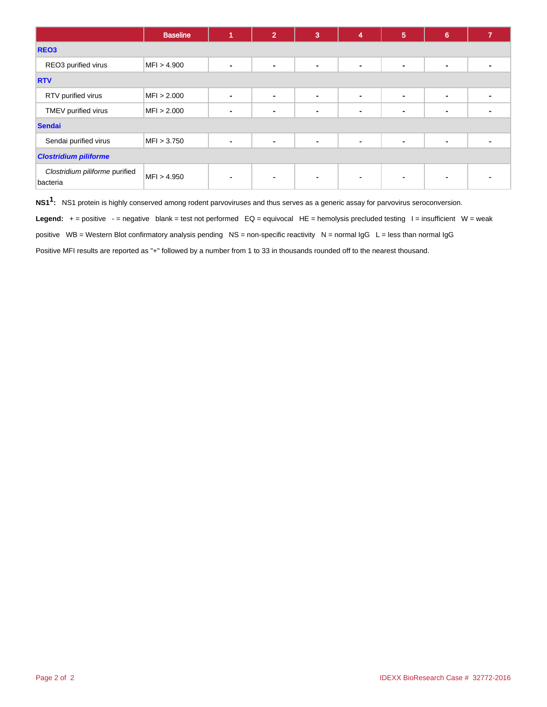|                                            | <b>Baseline</b> | и              | $\overline{2}$ | 3              | $\overline{\mathbf{4}}$ | $5\phantom{1}$           | $6\phantom{1}$ | 7              |  |
|--------------------------------------------|-----------------|----------------|----------------|----------------|-------------------------|--------------------------|----------------|----------------|--|
| REO <sub>3</sub>                           |                 |                |                |                |                         |                          |                |                |  |
| REO3 purified virus                        | MFI > 4.900     | $\blacksquare$ | $\blacksquare$ | $\blacksquare$ | $\blacksquare$          | $\blacksquare$           | $\blacksquare$ | ۰              |  |
| <b>RTV</b>                                 |                 |                |                |                |                         |                          |                |                |  |
| RTV purified virus                         | MFI > 2.000     | $\sim$         | $\sim$         | $\sim$         | $\blacksquare$          | $\blacksquare$           | $\sim$         | $\blacksquare$ |  |
| TMEV purified virus                        | MFI > 2.000     | $\blacksquare$ | ۰              | $\blacksquare$ | $\blacksquare$          | $\blacksquare$           | $\blacksquare$ |                |  |
| <b>Sendai</b>                              |                 |                |                |                |                         |                          |                |                |  |
| Sendai purified virus                      | MFI > 3.750     | $\sim$         | $\blacksquare$ | $\blacksquare$ | $\blacksquare$          |                          | $\blacksquare$ |                |  |
| <b>Clostridium piliforme</b>               |                 |                |                |                |                         |                          |                |                |  |
| Clostridium piliforme purified<br>bacteria | MFI > 4.950     | $\blacksquare$ | $\blacksquare$ | ۰              | $\blacksquare$          | $\overline{\phantom{0}}$ | ٠              |                |  |

**NS11 :** NS1 protein is highly conserved among rodent parvoviruses and thus serves as a generic assay for parvovirus seroconversion.

Legend: + = positive - = negative blank = test not performed EQ = equivocal HE = hemolysis precluded testing l = insufficient W = weak

positive  $WB = Western Blot confirmatory analysis pending NS = non-specific reactivity  $N = normal IgG L = less than normal IgG$$ 

Positive MFI results are reported as "+" followed by a number from 1 to 33 in thousands rounded off to the nearest thousand.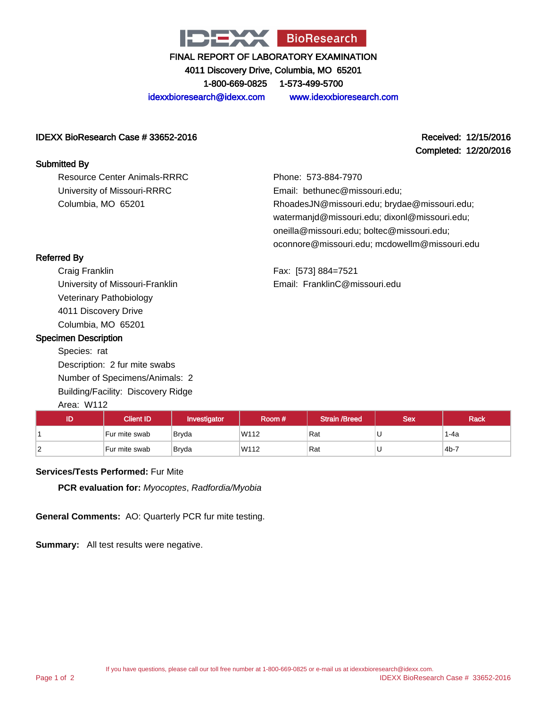

4011 Discovery Drive, Columbia, MO 65201

1-800-669-0825 1-573-499-5700

idexxbioresearch@idexx.com www.idexxbioresearch.com

#### IDEXX BioResearch Case # 33652-2016 Received: 12/15/2016

Completed: 12/20/2016

## Submitted By

Resource Center Animals-RRRC University of Missouri-RRRC Columbia, MO 65201

Phone: 573-884-7970 Email: bethunec@missouri.edu; RhoadesJN@missouri.edu; brydae@missouri.edu; watermanjd@missouri.edu; dixonl@missouri.edu; oneilla@missouri.edu; boltec@missouri.edu; oconnore@missouri.edu; mcdowellm@missouri.edu

Fax: [573] 884=7521 Email: FranklinC@missouri.edu

## Referred By

Craig Franklin University of Missouri-Franklin Veterinary Pathobiology 4011 Discovery Drive Columbia, MO 65201

#### Specimen Description

Species: rat Description: 2 fur mite swabs Number of Specimens/Animals: 2 Building/Facility: Discovery Ridge Area: W112

| , ,, vu. , , , , <i>,</i> |               |              |        |                      |            |             |
|---------------------------|---------------|--------------|--------|----------------------|------------|-------------|
| ID                        | Client ID'    | Investigator | Room # | <b>Strain /Breed</b> | <b>Sex</b> | <b>Rack</b> |
|                           | Fur mite swab | Bryda        | W112   | Rat                  | U          | 1-4a        |
|                           | Fur mite swab | Bryda        | W112   | Rat                  | U          | $4b-7$      |

#### **Services/Tests Performed:** Fur Mite

**PCR evaluation for:** Myocoptes, Radfordia/Myobia

**General Comments:** AO: Quarterly PCR fur mite testing.

**Summary:** All test results were negative.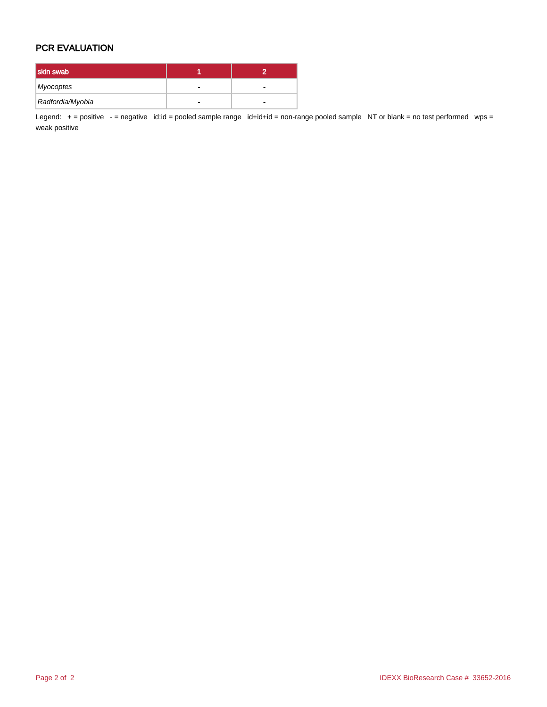## PCR EVALUATION

| skin swab        |  |
|------------------|--|
| Myocoptes        |  |
| Radfordia/Myobia |  |

Legend: + = positive - = negative id:id = pooled sample range id+id+id = non-range pooled sample NT or blank = no test performed wps = weak positive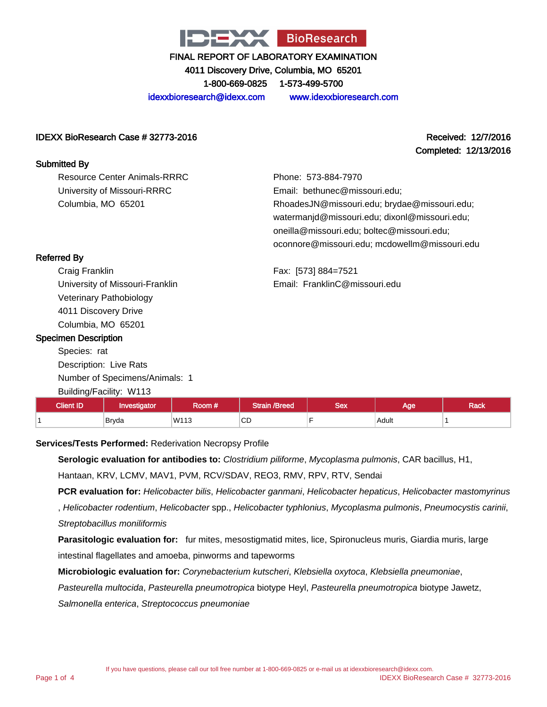

4011 Discovery Drive, Columbia, MO 65201 1-800-669-0825 1-573-499-5700

idexxbioresearch@idexx.com www.idexxbioresearch.com

### IDEXX BioResearch Case # 32773-2016 Received: 12/7/2016

Resource Center Animals-RRRC University of Missouri-RRRC

Columbia, MO 65201

# Completed: 12/13/2016

Phone: 573-884-7970 Email: bethunec@missouri.edu; RhoadesJN@missouri.edu; brydae@missouri.edu; watermanjd@missouri.edu; dixonl@missouri.edu; oneilla@missouri.edu; boltec@missouri.edu; oconnore@missouri.edu; mcdowellm@missouri.edu

Fax: [573] 884=7521 Email: FranklinC@missouri.edu

| <b>Referred By</b> |  |
|--------------------|--|
|--------------------|--|

Submitted By

Craig Franklin University of Missouri-Franklin Veterinary Pathobiology 4011 Discovery Drive Columbia, MO 65201

#### Specimen Description

Species: rat Description: Live Rats Number of Specimens/Animals: 1 Building/Facility: W113

| <b>Client ID</b> | nvestigator | .<br>Room #\ | /Breed       | Sex | Age   | -<br>ייש<br>naun |
|------------------|-------------|--------------|--------------|-----|-------|------------------|
|                  | Bryda       | W113         | $\sim$<br>◡◡ |     | Adult |                  |

#### **Services/Tests Performed:** Rederivation Necropsy Profile

**Serologic evaluation for antibodies to:** Clostridium piliforme, Mycoplasma pulmonis, CAR bacillus, H1, Hantaan, KRV, LCMV, MAV1, PVM, RCV/SDAV, REO3, RMV, RPV, RTV, Sendai

**PCR evaluation for:** Helicobacter bilis, Helicobacter ganmani, Helicobacter hepaticus, Helicobacter mastomyrinus

, Helicobacter rodentium, Helicobacter spp., Helicobacter typhlonius, Mycoplasma pulmonis, Pneumocystis carinii, Streptobacillus moniliformis

**Parasitologic evaluation for:** fur mites, mesostigmatid mites, lice, Spironucleus muris, Giardia muris, large intestinal flagellates and amoeba, pinworms and tapeworms

**Microbiologic evaluation for:** Corynebacterium kutscheri, Klebsiella oxytoca, Klebsiella pneumoniae,

Pasteurella multocida, Pasteurella pneumotropica biotype Heyl, Pasteurella pneumotropica biotype Jawetz,

Salmonella enterica, Streptococcus pneumoniae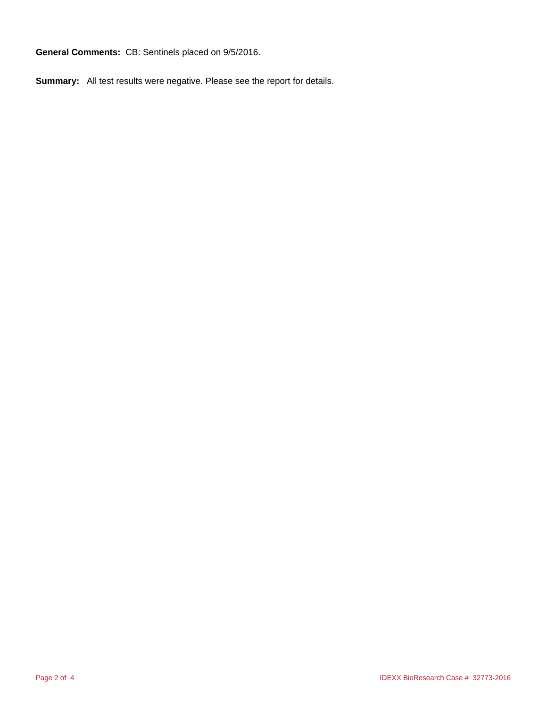**General Comments:** CB: Sentinels placed on 9/5/2016.

**Summary:** All test results were negative. Please see the report for details.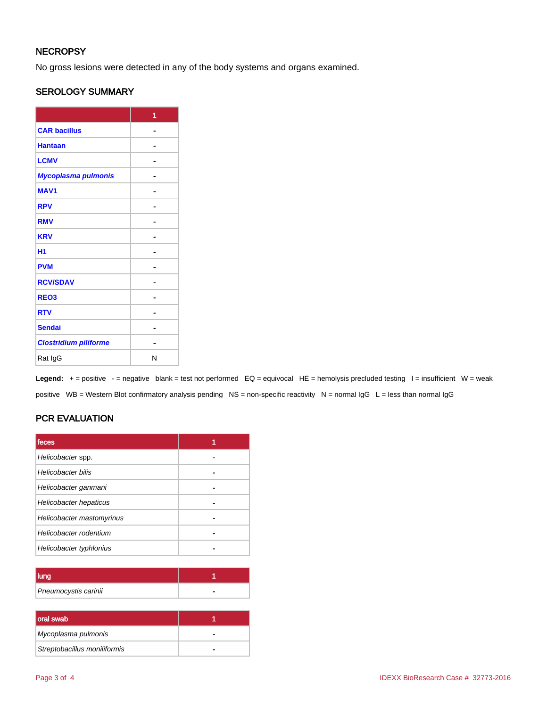## **NECROPSY**

No gross lesions were detected in any of the body systems and organs examined.

## SEROLOGY SUMMARY

|                              | 1 |
|------------------------------|---|
| <b>CAR bacillus</b>          |   |
| <b>Hantaan</b>               |   |
| <b>LCMV</b>                  |   |
| Mycoplasma pulmonis          |   |
| <b>MAV1</b>                  |   |
| <b>RPV</b>                   |   |
| <b>RMV</b>                   |   |
| <b>KRV</b>                   |   |
| H <sub>1</sub>               |   |
| <b>PVM</b>                   |   |
| <b>RCV/SDAV</b>              |   |
| REO <sub>3</sub>             |   |
| <b>RTV</b>                   |   |
| <b>Sendai</b>                |   |
| <b>Clostridium piliforme</b> |   |
| Rat IgG                      | N |

Legend: + = positive - = negative blank = test not performed EQ = equivocal HE = hemolysis precluded testing I = insufficient W = weak positive WB = Western Blot confirmatory analysis pending NS = non-specific reactivity N = normal IgG L = less than normal IgG

## PCR EVALUATION

| feces                     |  |
|---------------------------|--|
| Helicobacter spp.         |  |
| <b>Helicobacter bilis</b> |  |
| Helicobacter ganmani      |  |
| Helicobacter hepaticus    |  |
| Helicobacter mastomyrinus |  |
| Helicobacter rodentium    |  |
| Helicobacter typhlonius   |  |

| Pneumocystis carinii |  |
|----------------------|--|

| oral swab                    |   |
|------------------------------|---|
| Mycoplasma pulmonis          | - |
| Streptobacillus moniliformis |   |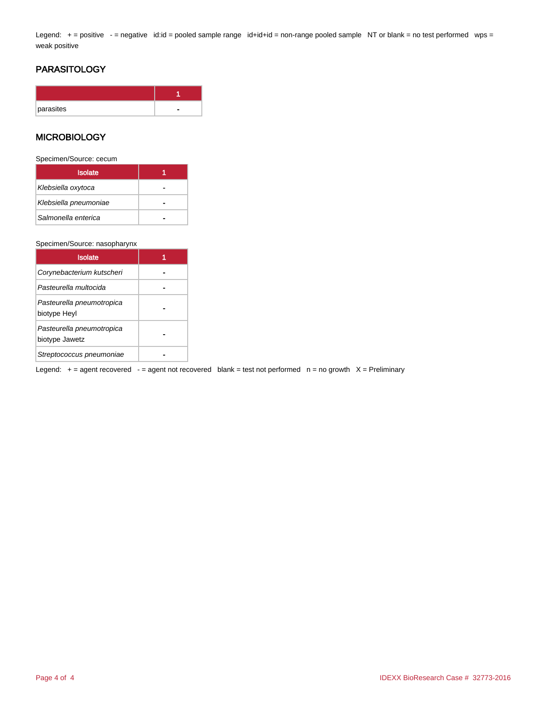Legend: + = positive - = negative id:id = pooled sample range id+id+id = non-range pooled sample NT or blank = no test performed wps = weak positive

## **PARASITOLOGY**

| parasites |  |
|-----------|--|

#### **MICROBIOLOGY**

Specimen/Source: cecum

| <b>Isolate</b>        |  |
|-----------------------|--|
| Klebsiella oxytoca    |  |
| Klebsiella pneumoniae |  |
| Salmonella enterica   |  |

#### Specimen/Source: nasopharynx

| <b>Isolate</b>                              |  |
|---------------------------------------------|--|
| Corynebacterium kutscheri                   |  |
| Pasteurella multocida                       |  |
| Pasteurella pneumotropica<br>biotype Heyl   |  |
| Pasteurella pneumotropica<br>biotype Jawetz |  |
| Streptococcus pneumoniae                    |  |

Legend:  $+$  = agent recovered  $-$  = agent not recovered blank = test not performed  $n$  = no growth  $X$  = Preliminary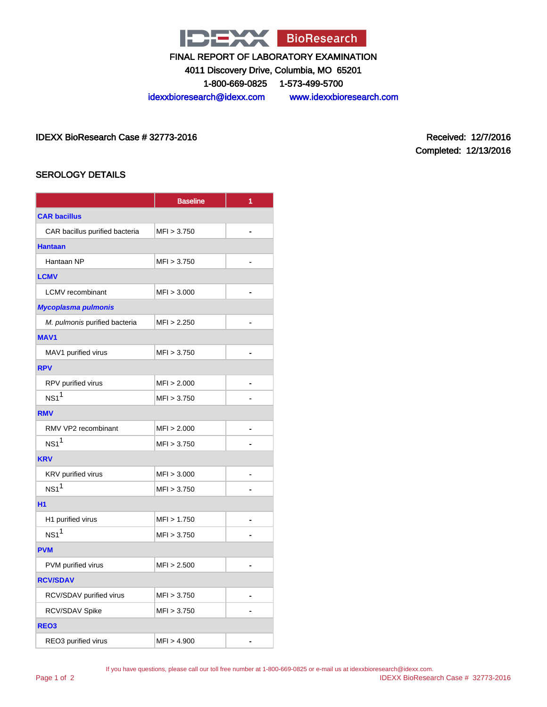

4011 Discovery Drive, Columbia, MO 65201

1-800-669-0825 1-573-499-5700

idexxbioresearch@idexx.com www.idexxbioresearch.com

IDEXX BioResearch Case # 32773-2016 Received: 12/7/2016

Completed: 12/13/2016

## SEROLOGY DETAILS

|                                | <b>Baseline</b> | 1              |  |
|--------------------------------|-----------------|----------------|--|
| <b>CAR bacillus</b>            |                 |                |  |
| CAR bacillus purified bacteria | MFI > 3.750     | -              |  |
| <b>Hantaan</b>                 |                 |                |  |
| Hantaan NP                     | MFI > 3.750     |                |  |
| <b>LCMV</b>                    |                 |                |  |
| <b>LCMV</b> recombinant        | MFI > 3.000     | $\blacksquare$ |  |
| <b>Mycoplasma pulmonis</b>     |                 |                |  |
| M. pulmonis purified bacteria  | MFI > 2.250     |                |  |
| <b>MAV1</b>                    |                 |                |  |
| MAV1 purified virus            | MFI > 3.750     |                |  |
| <b>RPV</b>                     |                 |                |  |
| RPV purified virus             | MFI > 2.000     |                |  |
| NS1 <sup>1</sup>               | MFI > 3.750     |                |  |
| <b>RMV</b>                     |                 |                |  |
| RMV VP2 recombinant            | MFI > 2.000     |                |  |
| NS1 <sup>1</sup>               | MFI > 3.750     |                |  |
| <b>KRV</b>                     |                 |                |  |
| KRV purified virus             | MFI > 3.000     | -              |  |
| $NS1^1$                        | MFI > 3.750     |                |  |
| <b>H1</b>                      |                 |                |  |
| H1 purified virus              | MFI > 1.750     |                |  |
| NS1 <sup>1</sup>               | MFI > 3.750     |                |  |
| <b>PVM</b>                     |                 |                |  |
| PVM purified virus             | MFI > 2.500     |                |  |
| <b>RCV/SDAV</b>                |                 |                |  |
| RCV/SDAV purified virus        | MFI > 3.750     |                |  |
| RCV/SDAV Spike                 | MFI > 3.750     |                |  |
| REO <sub>3</sub>               |                 |                |  |
| REO3 purified virus            | MFI > 4.900     |                |  |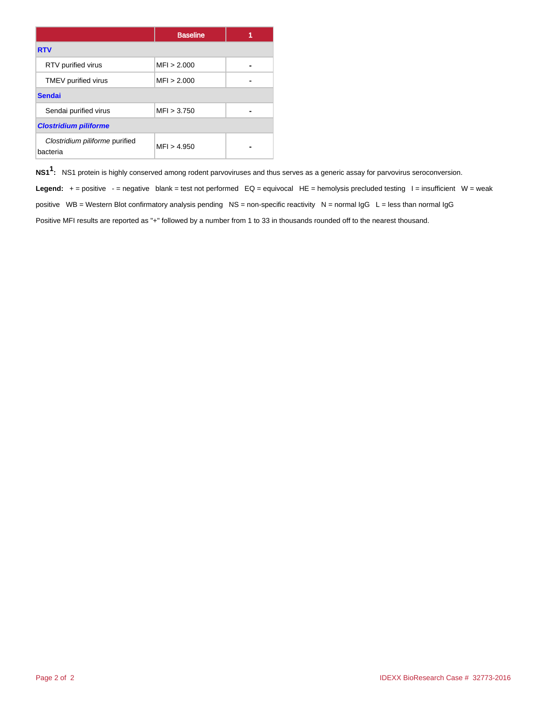|                                            | <b>Baseline</b> |  |  |
|--------------------------------------------|-----------------|--|--|
| <b>RTV</b>                                 |                 |  |  |
| RTV purified virus                         | MFI > 2.000     |  |  |
| TMEV purified virus                        | MFI > 2.000     |  |  |
| <b>Sendai</b>                              |                 |  |  |
| Sendai purified virus                      | MFI > 3.750     |  |  |
| <b>Clostridium piliforme</b>               |                 |  |  |
| Clostridium piliforme purified<br>bacteria | MFI > 4.950     |  |  |

**NS11 :** NS1 protein is highly conserved among rodent parvoviruses and thus serves as a generic assay for parvovirus seroconversion.

Legend: + = positive - = negative blank = test not performed EQ = equivocal HE = hemolysis precluded testing I = insufficient W = weak positive WB = Western Blot confirmatory analysis pending NS = non-specific reactivity N = normal  $\lg G$  L = less than normal  $\lg G$ Positive MFI results are reported as "+" followed by a number from 1 to 33 in thousands rounded off to the nearest thousand.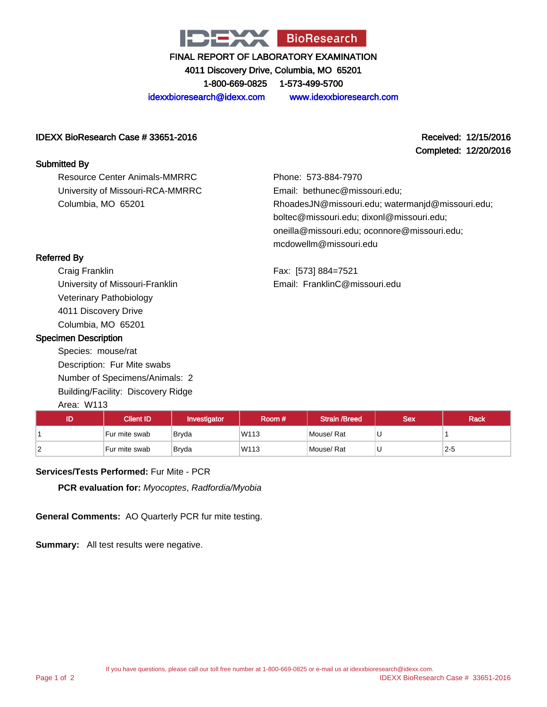

4011 Discovery Drive, Columbia, MO 65201 1-800-669-0825 1-573-499-5700

idexxbioresearch@idexx.com www.idexxbioresearch.com

#### IDEXX BioResearch Case # 33651-2016 Received: 12/15/2016

#### Submitted By

Resource Center Animals-MMRRC University of Missouri-RCA-MMRRC Columbia, MO 65201

Completed: 12/20/2016

Phone: 573-884-7970 Email: bethunec@missouri.edu; RhoadesJN@missouri.edu; watermanjd@missouri.edu; boltec@missouri.edu; dixonl@missouri.edu; oneilla@missouri.edu; oconnore@missouri.edu; mcdowellm@missouri.edu

Fax: [573] 884=7521 Email: FranklinC@missouri.edu

## Referred By

Craig Franklin University of Missouri-Franklin Veterinary Pathobiology 4011 Discovery Drive Columbia, MO 65201

#### Specimen Description

Species: mouse/rat Description: Fur Mite swabs Number of Specimens/Animals: 2 Building/Facility: Discovery Ridge Area: W113

| ID | <b>Client ID</b> | Investigator | Room # | <b>Strain /Breed</b> | <b>Sex</b> | <b>Rack</b> |
|----|------------------|--------------|--------|----------------------|------------|-------------|
|    | Fur mite swab    | Bryda        | W113   | Mouse/Rat            |            |             |
|    | Fur mite swab    | Bryda        | W113   | Mouse/Rat            |            | $2-5$       |

#### **Services/Tests Performed:** Fur Mite - PCR

**PCR evaluation for:** Myocoptes, Radfordia/Myobia

**General Comments:** AO Quarterly PCR fur mite testing.

**Summary:** All test results were negative.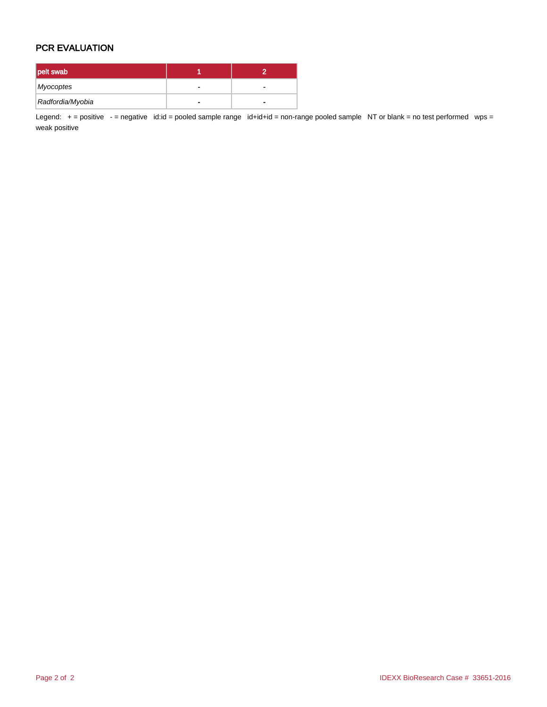## PCR EVALUATION

| pelt swab        |  |
|------------------|--|
| Myocoptes        |  |
| Radfordia/Myobia |  |

Legend: + = positive - = negative id:id = pooled sample range id+id+id = non-range pooled sample NT or blank = no test performed wps = weak positive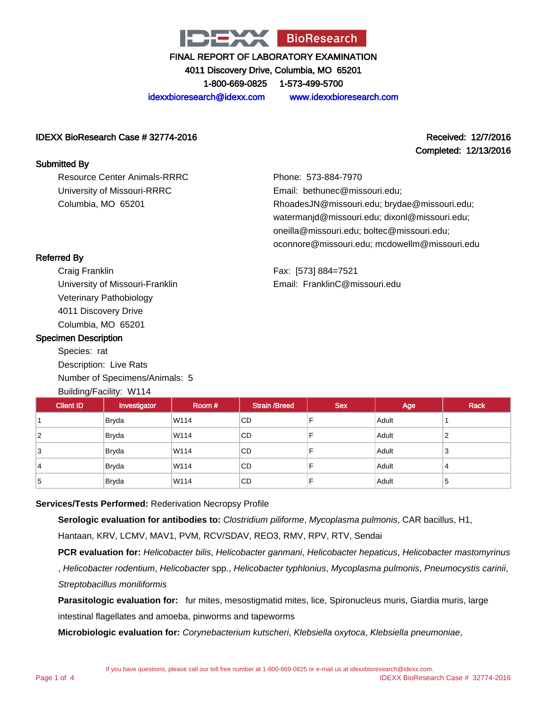

4011 Discovery Drive, Columbia, MO 65201 1-800-669-0825 1-573-499-5700

idexxbioresearch@idexx.com www.idexxbioresearch.com

#### IDEXX BioResearch Case # 32774-2016 Received: 12/7/2016

# Completed: 12/13/2016

Resource Center Animals-RRRC University of Missouri-RRRC Columbia, MO 65201

Phone: 573-884-7970 Email: bethunec@missouri.edu; RhoadesJN@missouri.edu; brydae@missouri.edu; watermanjd@missouri.edu; dixonl@missouri.edu; oneilla@missouri.edu; boltec@missouri.edu; oconnore@missouri.edu; mcdowellm@missouri.edu

Fax: [573] 884=7521 Email: FranklinC@missouri.edu

## Referred By

Submitted By

Craig Franklin University of Missouri-Franklin Veterinary Pathobiology 4011 Discovery Drive Columbia, MO 65201

#### Specimen Description

Species: rat Description: Live Rats Number of Specimens/Animals: 5 Building/Facility: W114

| <b>Client ID</b> | Investigator | Room # | <b>Strain /Breed</b> | <b>Sex</b> | Age   | <b>Rack</b> |
|------------------|--------------|--------|----------------------|------------|-------|-------------|
|                  | <b>Bryda</b> | W114   | CD                   |            | Adult |             |
| $\overline{2}$   | Bryda        | W114   | <b>CD</b>            |            | Adult | 2           |
| 3                | Bryda        | W114   | <b>CD</b>            |            | Adult | 3           |
| 4                | <b>Bryda</b> | W114   | CD                   |            | Adult | 4           |
| 5                | <b>Bryda</b> | W114   | CD                   |            | Adult | 5           |

## **Services/Tests Performed:** Rederivation Necropsy Profile

**Serologic evaluation for antibodies to:** Clostridium piliforme, Mycoplasma pulmonis, CAR bacillus, H1,

Hantaan, KRV, LCMV, MAV1, PVM, RCV/SDAV, REO3, RMV, RPV, RTV, Sendai

**PCR evaluation for:** Helicobacter bilis, Helicobacter ganmani, Helicobacter hepaticus, Helicobacter mastomyrinus

, Helicobacter rodentium, Helicobacter spp., Helicobacter typhlonius, Mycoplasma pulmonis, Pneumocystis carinii, Streptobacillus moniliformis

**Parasitologic evaluation for:** fur mites, mesostigmatid mites, lice, Spironucleus muris, Giardia muris, large intestinal flagellates and amoeba, pinworms and tapeworms

**Microbiologic evaluation for:** Corynebacterium kutscheri, Klebsiella oxytoca, Klebsiella pneumoniae,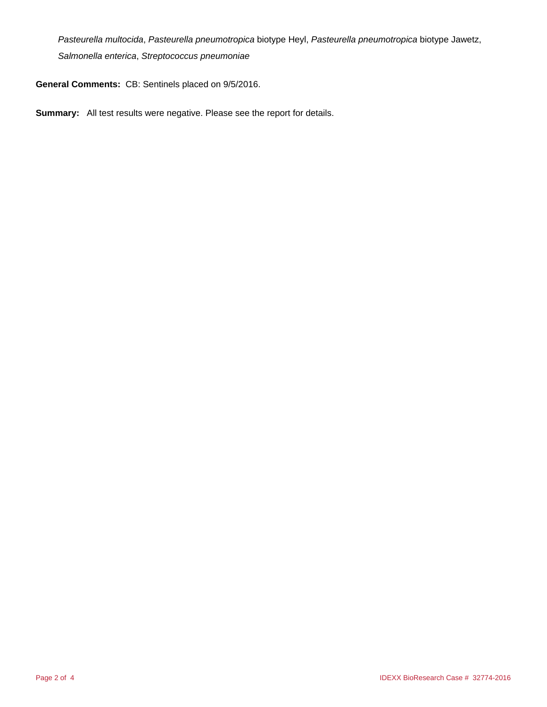Pasteurella multocida, Pasteurella pneumotropica biotype Heyl, Pasteurella pneumotropica biotype Jawetz, Salmonella enterica, Streptococcus pneumoniae

**General Comments:** CB: Sentinels placed on 9/5/2016.

**Summary:** All test results were negative. Please see the report for details.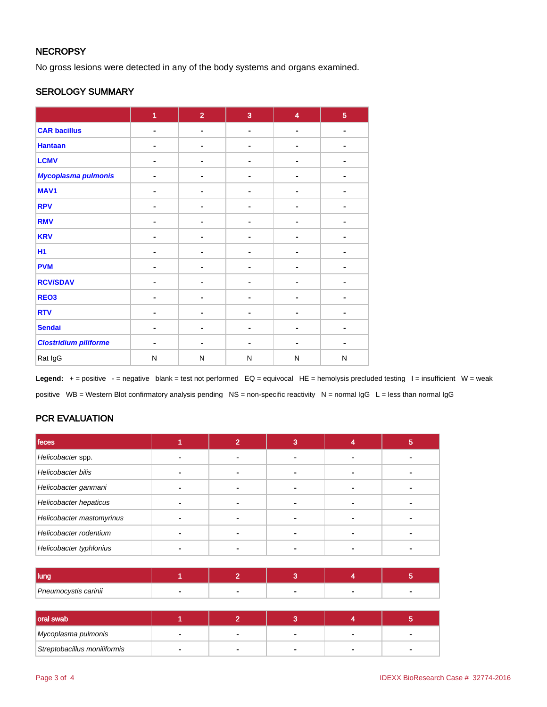## **NECROPSY**

No gross lesions were detected in any of the body systems and organs examined.

#### SEROLOGY SUMMARY

|                              | $\overline{1}$ | $\overline{2}$ | $\overline{3}$ | $\overline{\mathbf{4}}$ | $\overline{5}$ |
|------------------------------|----------------|----------------|----------------|-------------------------|----------------|
| <b>CAR bacillus</b>          | $\blacksquare$ | $\blacksquare$ | $\blacksquare$ | $\blacksquare$          | $\blacksquare$ |
| <b>Hantaan</b>               |                | ۰              |                |                         |                |
| <b>LCMV</b>                  |                | -              |                |                         |                |
| Mycoplasma pulmonis          |                | ۰              |                |                         |                |
| MAV1                         | ۰              | ٠              |                | ٠                       |                |
| <b>RPV</b>                   |                | -              |                | ä,                      |                |
| <b>RMV</b>                   |                | $\blacksquare$ |                |                         | ٠              |
| <b>KRV</b>                   |                | ۰              |                |                         |                |
| <b>H1</b>                    |                | -              |                |                         |                |
| <b>PVM</b>                   | $\blacksquare$ | $\blacksquare$ | ۰.             | $\blacksquare$          |                |
| <b>RCV/SDAV</b>              |                | ۰              |                |                         |                |
| REO <sub>3</sub>             |                |                |                |                         |                |
| <b>RTV</b>                   |                | ٠              |                |                         |                |
| <b>Sendai</b>                |                | ۰              |                |                         |                |
| <b>Clostridium piliforme</b> |                |                | -              | ٠                       | $\blacksquare$ |
| Rat IgG                      | N              | N              | $\mathsf{N}$   | ${\sf N}$               | N              |

Legend: + = positive - = negative blank = test not performed EQ = equivocal HE = hemolysis precluded testing I = insufficient W = weak positive WB = Western Blot confirmatory analysis pending NS = non-specific reactivity N = normal IgG L = less than normal IgG

## PCR EVALUATION

| feces                     |  | 3 | ю |
|---------------------------|--|---|---|
| Helicobacter spp.         |  |   |   |
| Helicobacter bilis        |  |   |   |
| Helicobacter ganmani      |  |   |   |
| Helicobacter hepaticus    |  |   |   |
| Helicobacter mastomyrinus |  |   |   |
| Helicobacter rodentium    |  |   |   |
| Helicobacter typhlonius   |  |   |   |

| <b>lung</b>          |  |  |  |
|----------------------|--|--|--|
| Pneumocystis carinii |  |  |  |

| <b>loral swab</b>            |  |  |  |
|------------------------------|--|--|--|
| Mycoplasma pulmonis          |  |  |  |
| Streptobacillus moniliformis |  |  |  |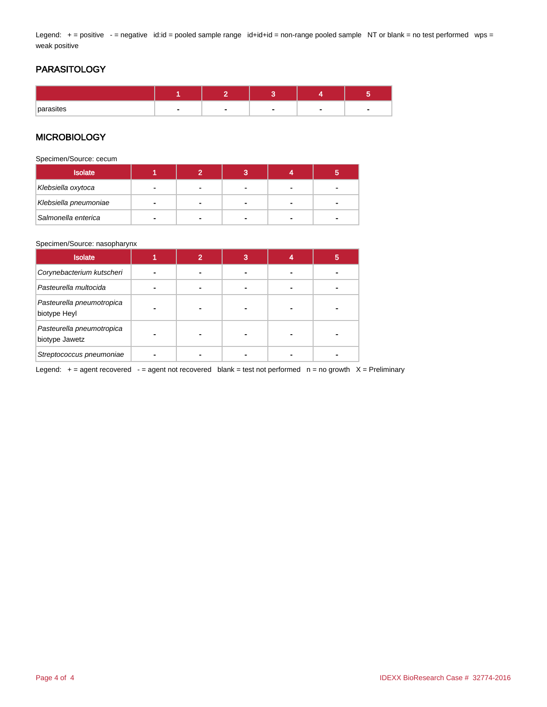Legend: + = positive - = negative id:id = pooled sample range id+id+id = non-range pooled sample NT or blank = no test performed wps = weak positive

## PARASITOLOGY

| parasites | $\overline{\phantom{0}}$ | - | - |
|-----------|--------------------------|---|---|

#### **MICROBIOLOGY**

Specimen/Source: cecum

| <b>Isolate</b>        |  | o<br>ю |  |
|-----------------------|--|--------|--|
| Klebsiella oxytoca    |  |        |  |
| Klebsiella pneumoniae |  |        |  |
| Salmonella enterica   |  |        |  |

#### Specimen/Source: nasopharynx

| <b>Isolate</b>                              | 2 | 3 | 5 |
|---------------------------------------------|---|---|---|
| Corynebacterium kutscheri                   |   |   |   |
| Pasteurella multocida                       |   |   |   |
| Pasteurella pneumotropica<br>biotype Heyl   |   |   |   |
| Pasteurella pneumotropica<br>biotype Jawetz |   | - |   |
| Streptococcus pneumoniae                    |   |   |   |

Legend:  $+$  = agent recovered  $-$  = agent not recovered blank = test not performed  $n$  = no growth  $X$  = Preliminary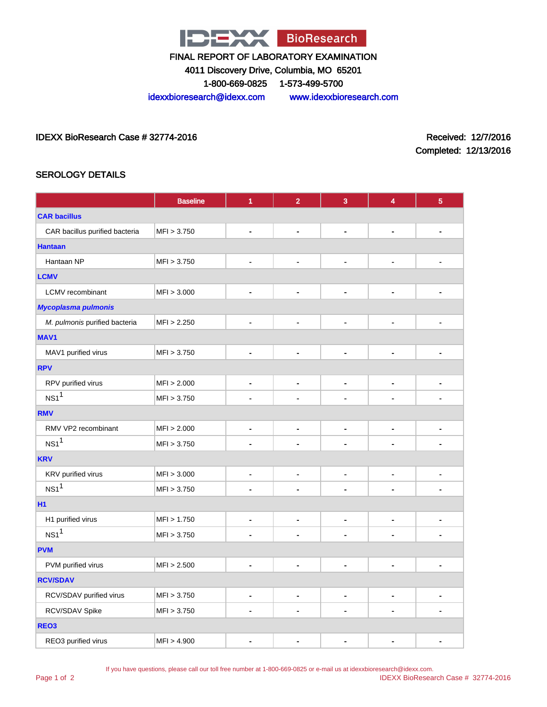

4011 Discovery Drive, Columbia, MO 65201

1-800-669-0825 1-573-499-5700

idexxbioresearch@idexx.com www.idexxbioresearch.com

IDEXX BioResearch Case # 32774-2016 Received: 12/7/2016

Completed: 12/13/2016

## SEROLOGY DETAILS

|                                | <b>Baseline</b> | 1                            | $\overline{2}$ | 3                        | 4                            | $\overline{5}$ |
|--------------------------------|-----------------|------------------------------|----------------|--------------------------|------------------------------|----------------|
| <b>CAR bacillus</b>            |                 |                              |                |                          |                              |                |
| CAR bacillus purified bacteria | MFI > 3.750     | $\blacksquare$               | ÷,             | ٠                        | $\overline{\phantom{0}}$     | $\blacksquare$ |
| <b>Hantaan</b>                 |                 |                              |                |                          |                              |                |
| Hantaan NP                     | MFI > 3.750     | $\blacksquare$               | $\blacksquare$ | $\blacksquare$           | $\blacksquare$               |                |
| <b>LCMV</b>                    |                 |                              |                |                          |                              |                |
| LCMV recombinant               | MFI > 3.000     | $\qquad \qquad \blacksquare$ | -              | -                        | $\overline{\phantom{0}}$     | $\blacksquare$ |
| Mycoplasma pulmonis            |                 |                              |                |                          |                              |                |
| M. pulmonis purified bacteria  | MFI > 2.250     | $\blacksquare$               | $\blacksquare$ | ٠                        | ٠                            | ٠              |
| MAV1                           |                 |                              |                |                          |                              |                |
| MAV1 purified virus            | MFI > 3.750     | $\blacksquare$               | $\blacksquare$ | $\blacksquare$           | -                            | ۰              |
| <b>RPV</b>                     |                 |                              |                |                          |                              |                |
| RPV purified virus             | MFI > 2.000     | $\qquad \qquad \blacksquare$ | $\blacksquare$ | -                        | $\blacksquare$               | $\blacksquare$ |
| NS1 <sup>1</sup>               | MFI > 3.750     |                              |                |                          |                              |                |
| <b>RMV</b>                     |                 |                              |                |                          |                              |                |
| RMV VP2 recombinant            | MFI > 2.000     | $\qquad \qquad \blacksquare$ | -              | $\overline{\phantom{a}}$ | $\qquad \qquad \blacksquare$ | $\blacksquare$ |
| NS1 <sup>1</sup>               | MFI > 3.750     |                              |                |                          |                              |                |
| <b>KRV</b>                     |                 |                              |                |                          |                              |                |
| KRV purified virus             | MFI > 3.000     | $\qquad \qquad \blacksquare$ | $\blacksquare$ | -                        | $\blacksquare$               | $\blacksquare$ |
| NS1 <sup>1</sup>               | MFI > 3.750     | $\blacksquare$               |                |                          |                              |                |
| H1                             |                 |                              |                |                          |                              |                |
| H1 purified virus              | MFI > 1.750     | $\blacksquare$               | $\blacksquare$ | ٠                        | $\blacksquare$               | $\blacksquare$ |
| NS1 <sup>1</sup>               | MFI > 3.750     | $\blacksquare$               |                |                          |                              | $\blacksquare$ |
| <b>PVM</b>                     |                 |                              |                |                          |                              |                |
| PVM purified virus             | MFI > 2.500     | $\qquad \qquad \blacksquare$ | -              | ٠                        | $\blacksquare$               | $\blacksquare$ |
| <b>RCV/SDAV</b>                |                 |                              |                |                          |                              |                |
| RCV/SDAV purified virus        | MFI > 3.750     | $\qquad \qquad \blacksquare$ | ٠              | ۰                        | $\qquad \qquad \blacksquare$ | $\blacksquare$ |
| RCV/SDAV Spike                 | MFI > 3.750     | $\blacksquare$               |                |                          |                              | $\blacksquare$ |
| REO <sub>3</sub>               |                 |                              |                |                          |                              |                |
| REO3 purified virus            | MFI > 4.900     | $\blacksquare$               |                |                          |                              | $\blacksquare$ |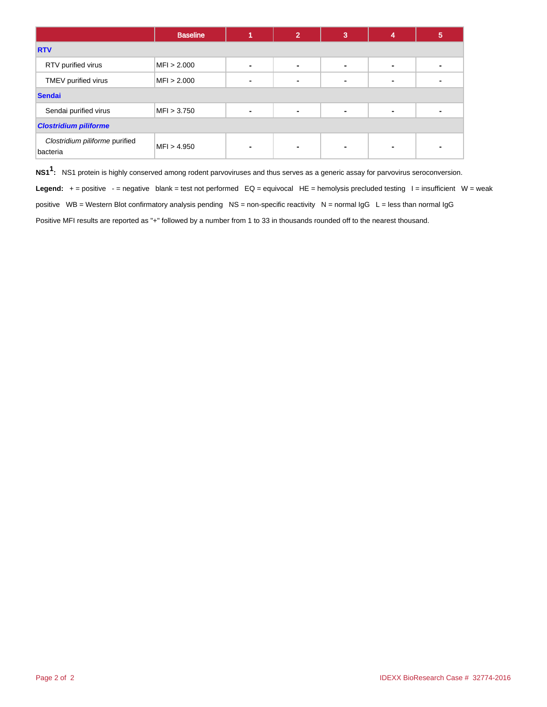|                                            | <b>Baseline</b> |                | 2 | 3 | 4              | 5 |  |
|--------------------------------------------|-----------------|----------------|---|---|----------------|---|--|
| <b>RTV</b>                                 |                 |                |   |   |                |   |  |
| RTV purified virus                         | MFI > 2.000     | $\blacksquare$ |   | - | $\blacksquare$ |   |  |
| TMEV purified virus                        | MFI > 2.000     | ٠              |   |   | $\blacksquare$ |   |  |
| <b>Sendai</b>                              |                 |                |   |   |                |   |  |
| Sendai purified virus                      | MFI > 3.750     | ۰              |   | ٠ | ٠              |   |  |
| <b>Clostridium piliforme</b>               |                 |                |   |   |                |   |  |
| Clostridium piliforme purified<br>bacteria | MFI > 4.950     | ٠              |   |   | $\blacksquare$ |   |  |

**NS11 :** NS1 protein is highly conserved among rodent parvoviruses and thus serves as a generic assay for parvovirus seroconversion.

Legend: + = positive - = negative blank = test not performed EQ = equivocal HE = hemolysis precluded testing I = insufficient W = weak positive WB = Western Blot confirmatory analysis pending NS = non-specific reactivity N = normal IgG L = less than normal IgG Positive MFI results are reported as "+" followed by a number from 1 to 33 in thousands rounded off to the nearest thousand.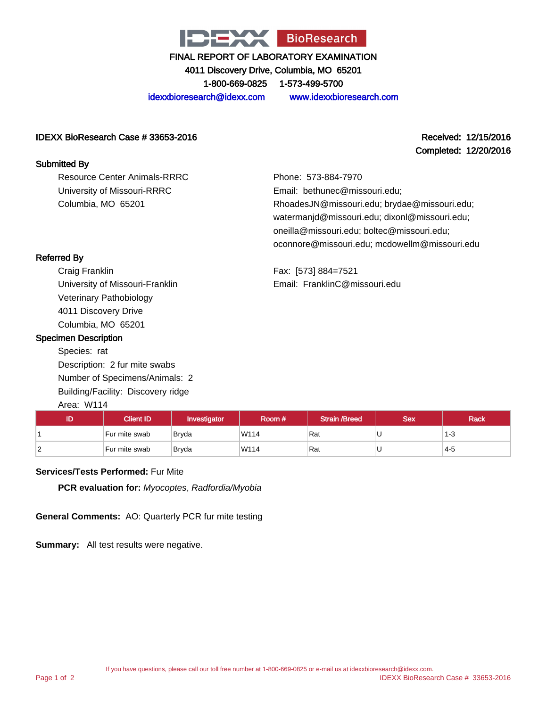

4011 Discovery Drive, Columbia, MO 65201

1-800-669-0825 1-573-499-5700

idexxbioresearch@idexx.com www.idexxbioresearch.com

#### IDEXX BioResearch Case # 33653-2016 Received: 12/15/2016

Completed: 12/20/2016

### Submitted By

Resource Center Animals-RRRC University of Missouri-RRRC Columbia, MO 65201

Phone: 573-884-7970 Email: bethunec@missouri.edu; RhoadesJN@missouri.edu; brydae@missouri.edu; watermanjd@missouri.edu; dixonl@missouri.edu; oneilla@missouri.edu; boltec@missouri.edu; oconnore@missouri.edu; mcdowellm@missouri.edu

Fax: [573] 884=7521 Email: FranklinC@missouri.edu

## Referred By

Craig Franklin University of Missouri-Franklin Veterinary Pathobiology 4011 Discovery Drive Columbia, MO 65201

#### Specimen Description

Species: rat Description: 2 fur mite swabs Number of Specimens/Animals: 2 Building/Facility: Discovery ridge

## Area: W114

| ID         | <b>Client ID</b> | Investigator | Room # | Strain /Breed | <b>Sex</b> | <b>Rack</b> |
|------------|------------------|--------------|--------|---------------|------------|-------------|
|            | Fur mite swab    | <b>Bryda</b> | W114   | Rat           | ັ          | د- 1        |
| $\epsilon$ | Fur mite swab    | Bryda        | W114   | Rat           | U          | 4-5         |

#### **Services/Tests Performed:** Fur Mite

**PCR evaluation for:** Myocoptes, Radfordia/Myobia

**General Comments:** AO: Quarterly PCR fur mite testing

**Summary:** All test results were negative.